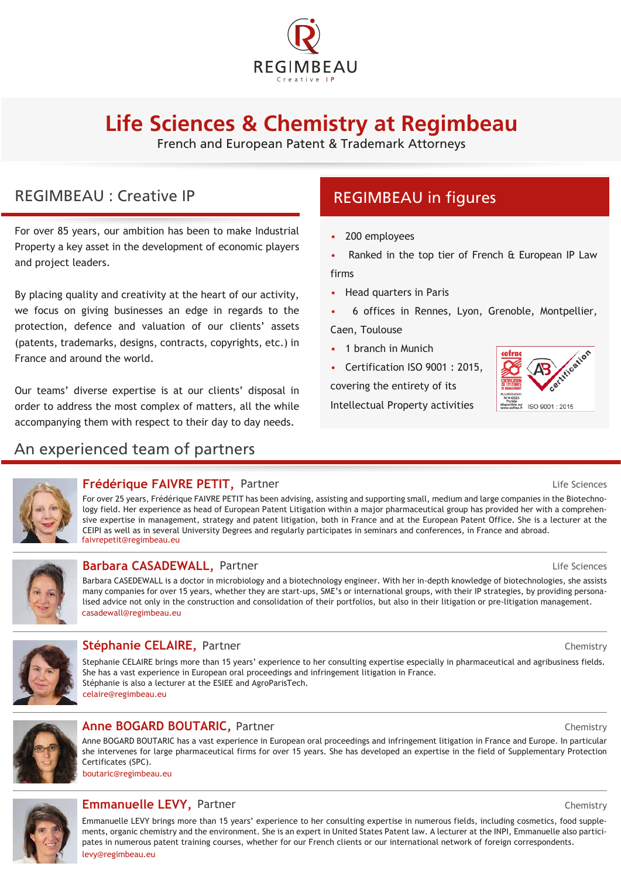

# **Life Sciences & Chemistry at Regimbeau**

French and European Patent & Trademark Attorneys

# REGIMBEAU : Creative IP

For over 85 years, our ambition has been to make Industrial Property a key asset in the development of economic players and project leaders.

By placing quality and creativity at the heart of our activity, we focus on giving businesses an edge in regards to the protection, defence and valuation of our clients' assets (patents, trademarks, designs, contracts, copyrights, etc.) in France and around the world.

Our teams' diverse expertise is at our clients' disposal in order to address the most complex of matters, all the while accompanying them with respect to their day to day needs.

## An experienced team of partners

# REGIMBEAU in figures

- 200 employees
- Ranked in the top tier of French & European IP Law firms
- Head quarters in Paris
- 6 offices in Rennes, Lyon, Grenoble, Montpellier, Caen, Toulouse
- 1 branch in Munich
- Certification ISO 9001 : 2015,
- covering the entirety of its

Intellectual Property activities





### **Frédérique FAIVRE PETIT, Partner Manuel Communication de la communité de la commune de la commune de la communité de la commune de la commune de la commune de la commune de la commune de la commune de la commune de la c**

For over 25 years, Frédérique FAIVRE PETIT has been advising, assisting and supporting small, medium and large companies in the Biotechnology field. Her experience as head of European Patent Litigation within a major pharmaceutical group has provided her with a comprehensive expertise in management, strategy and patent litigation, both in France and at the European Patent Office. She is a lecturer at the CEIPI as well as in several University Degrees and regularly participates in seminars and conferences, in France and abroad. faivrepetit@regimbeau.eu



### **Barbara CASADEWALL,** Partner

casadewall@regimbeau.eu Barbara CASEDEWALL is a doctor in microbiology and a biotechnology engineer. With her in-depth knowledge of biotechnologies, she assists many companies for over 15 years, whether they are start-ups, SME's or international groups, with their IP strategies, by providing personalised advice not only in the construction and consolidation of their portfolios, but also in their litigation or pre-litigation management.



#### **Stéphanie CELAIRE,** Partner Chemistry

Stephanie CELAIRE brings more than 15 years' experience to her consulting expertise especially in pharmaceutical and agribusiness fields. She has a vast experience in European oral proceedings and infringement litigation in France. Stéphanie is also a lecturer at the ESIEE and AgroParisTech. celaire@regimbeau.eu



### **Anne BOGARD BOUTARIC, Partner Partner Partner Partner Chemistry**

Anne BOGARD BOUTARIC has a vast experience in European oral proceedings and infringement litigation in France and Europe. In particular she intervenes for large pharmaceutical firms for over 15 years. She has developed an expertise in the field of Supplementary Protection Certificates (SPC).

boutaric@regimbeau.eu



#### **Emmanuelle LEVY,** Partner Chemistry

Emmanuelle LEVY brings more than 15 years' experience to her consulting expertise in numerous fields, including cosmetics, food supplements, organic chemistry and the environment. She is an expert in United States Patent law. A lecturer at the INPI, Emmanuelle also participates in numerous patent training courses, whether for our French clients or our international network of foreign correspondents. levy@regimbeau.eu

Life Sciences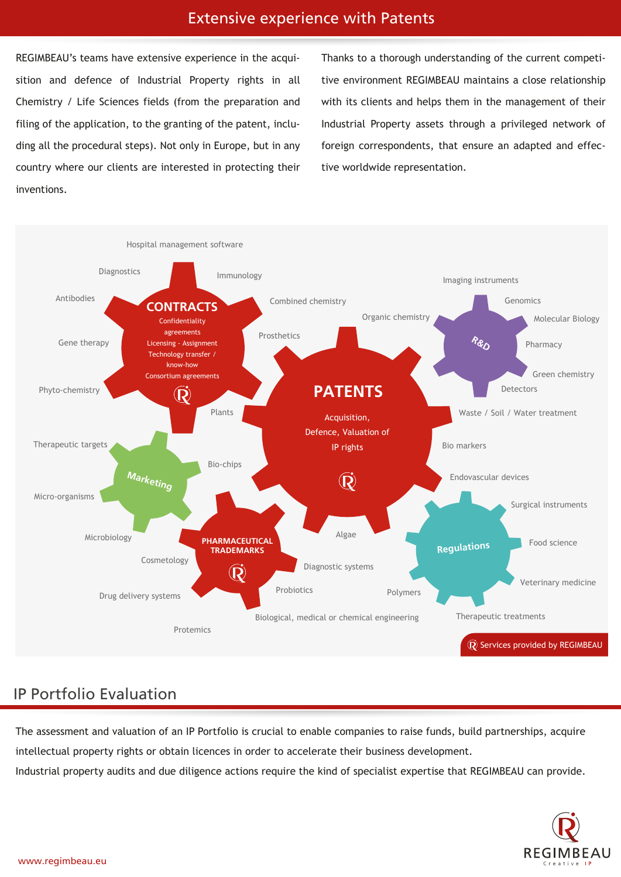### Extensive experience with Patents

REGIMBEAU's teams have extensive experience in the acquisition and defence of Industrial Property rights in all Chemistry / Life Sciences fields (from the preparation and filing of the application, to the granting of the patent, including all the procedural steps). Not only in Europe, but in any country where our clients are interested in protecting their inventions.

Thanks to a thorough understanding of the current competitive environment REGIMBEAU maintains a close relationship with its clients and helps them in the management of their Industrial Property assets through a privileged network of foreign correspondents, that ensure an adapted and effective worldwide representation.



# IP Portfolio Evaluation

The assessment and valuation of an IP Portfolio is crucial to enable companies to raise funds, build partnerships, acquire intellectual property rights or obtain licences in order to accelerate their business development. Industrial property audits and due diligence actions require the kind of specialist expertise that REGIMBEAU can provide.

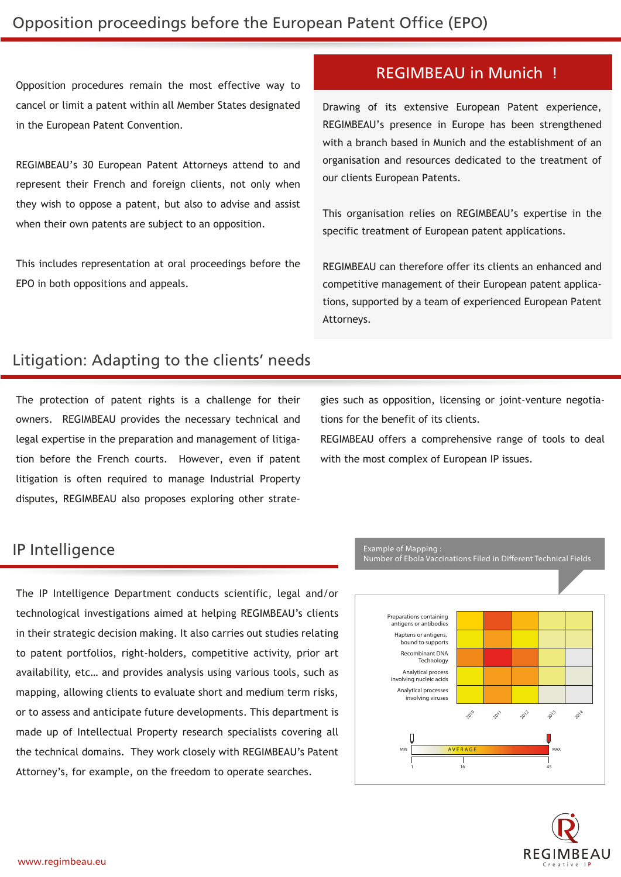Opposition procedures remain the most effective way to cancel or limit a patent within all Member States designated in the European Patent Convention.

REGIMBEAU's 30 European Patent Attorneys attend to and represent their French and foreign clients, not only when they wish to oppose a patent, but also to advise and assist when their own patents are subject to an opposition.

This includes representation at oral proceedings before the EPO in both oppositions and appeals.

### REGIMBEAU in Munich !

Drawing of its extensive European Patent experience, REGIMBEAU's presence in Europe has been strengthened with a branch based in Munich and the establishment of an organisation and resources dedicated to the treatment of our clients European Patents.

This organisation relies on REGIMBEAU's expertise in the specific treatment of European patent applications.

REGIMBEAU can therefore offer its clients an enhanced and competitive management of their European patent applications, supported by a team of experienced European Patent Attorneys.

# Litigation: Adapting to the clients' needs

The protection of patent rights is a challenge for their owners. REGIMBEAU provides the necessary technical and legal expertise in the preparation and management of litigation before the French courts. However, even if patent litigation is often required to manage Industrial Property disputes, REGIMBEAU also proposes exploring other strategies such as opposition, licensing or joint-venture negotiations for the benefit of its clients.

REGIMBEAU offers a comprehensive range of tools to deal with the most complex of European IP issues.

### IP Intelligence

The IP Intelligence Department conducts scientific, legal and/or technological investigations aimed at helping REGIMBEAU's clients in their strategic decision making. It also carries out studies relating to patent portfolios, right-holders, competitive activity, prior art availability, etc… and provides analysis using various tools, such as mapping, allowing clients to evaluate short and medium term risks, or to assess and anticipate future developments. This department is made up of Intellectual Property research specialists covering all the technical domains. They work closely with REGIMBEAU's Patent Attorney's, for example, on the freedom to operate searches.